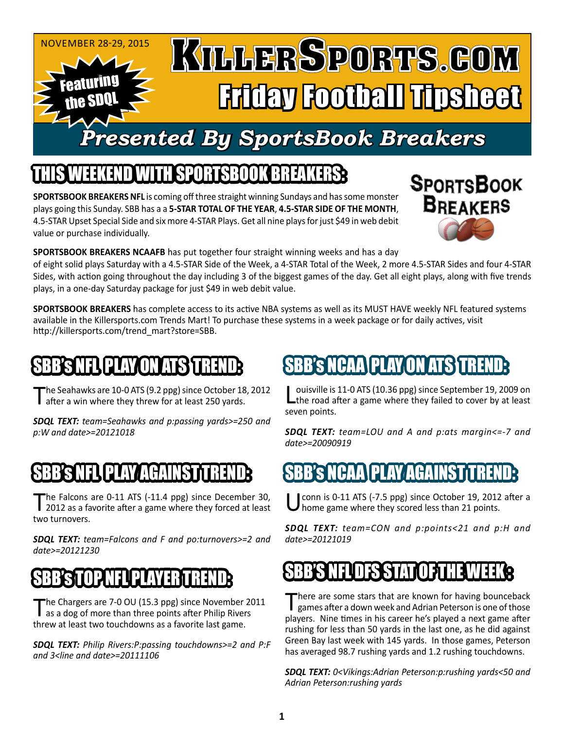#### November 28-29, 2015 KULLERSPORTS.GOM Featuring Friday Football Tipsheet the SDQL *Presented By SportsBook Breakers*

### IEEKEND WITH SPORTSBOOK BREA

**SPORTSBOOK BREAKERS NFL** is coming off three straight winning Sundays and has some monster plays going this Sunday. SBB has a a **5-STAR TOTAL OF THE YEAR**, **4.5-STAR SIDE OF THE MONTH**, 4.5-STAR Upset Special Side and six more 4-STAR Plays. Get all nine plays for just \$49 in web debit value or purchase individually.



**SPORTSBOOK BREAKERS NCAAFB** has put together four straight winning weeks and has a day

of eight solid plays Saturday with a 4.5-STAR Side of the Week, a 4-STAR Total of the Week, 2 more 4.5-STAR Sides and four 4-STAR Sides, with action going throughout the day including 3 of the biggest games of the day. Get all eight plays, along with five trends plays, in a one-day Saturday package for just \$49 in web debit value.

**SPORTSBOOK BREAKERS** has complete access to its active NBA systems as well as its MUST HAVE weekly NFL featured systems available in the Killersports.com Trends Mart! To purchase these systems in a week package or for daily actives, visit http://killersports.com/trend\_mart?store=SBB.

# BB'S NFLL PLAY ON ATSY

The Seahawks are 10-0 ATS (9.2 ppg) since October 18, 2012<br>Tafter a win where they threw for at least 250 yards.

*SDQL TEXT: team=Seahawks and p:passing yards>=250 and p:W and date>=20121018*

# NFL PLAY/AGAI

The Falcons are 0-11 ATS (-11.4 ppg) since December 30,<br>2012 as a favorite after a game where they forced at least two turnovers.

*SDQL TEXT: team=Falcons and F and po:turnovers>=2 and date>=20121230*

### SBB'S TOP NEUPLAYER TREND

The Chargers are 7-0 OU (15.3 ppg) since November 2011 as a dog of more than three points after Philip Rivers threw at least two touchdowns as a favorite last game.

*SDQL TEXT: Philip Rivers:P:passing touchdowns>=2 and P:F and 3<line and date>=20111106*

# SBB's NCAAIPLAY ON ATS T

ouisville is 11-0 ATS (10.36 ppg) since September 19, 2009 on **L** the road after a game where they failed to cover by at least seven points.

*SDQL TEXT: team=LOU and A and p:ats margin<=-7 and date>=20090919*

### **SBBCAA PLAY AGAINS**

conn is 0-11 ATS (-7.5 ppg) since October 19, 2012 after a I home game where they scored less than 21 points.

*SDQL TEXT: team=CON and p:points<21 and p:H and date>=20121019*

### DES STAT

There are some stars that are known for having bounceback games after a down week and Adrian Peterson is one of those players. Nine times in his career he's played a next game after rushing for less than 50 yards in the last one, as he did against Green Bay last week with 145 yards. In those games, Peterson has averaged 98.7 rushing yards and 1.2 rushing touchdowns.

*SDQL TEXT: 0<Vikings:Adrian Peterson:p:rushing yards<50 and Adrian Peterson:rushing yards*